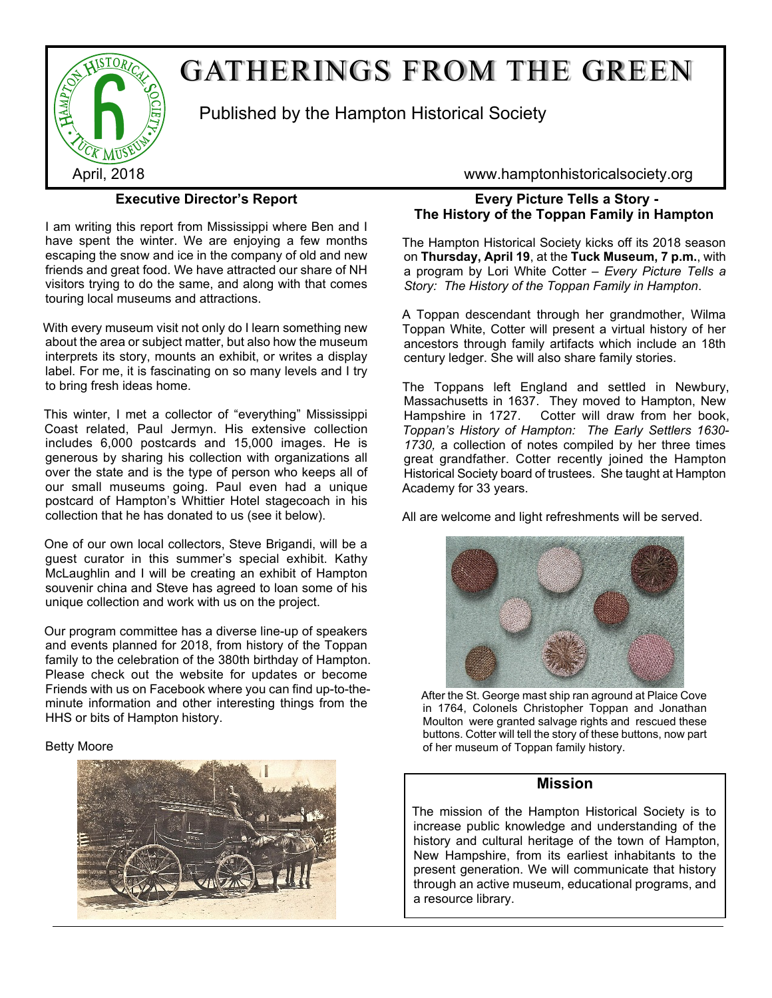

# GATHERINGS FROM THE GREEN

Published by the Hampton Historical Society

**Executive Director's Report**

I am writing this report from Mississippi where Ben and I have spent the winter. We are enjoying a few months escaping the snow and ice in the company of old and new friends and great food. We have attracted our share of NH visitors trying to do the same, and along with that comes touring local museums and attractions.

With every museum visit not only do I learn something new about the area or subject matter, but also how the museum interprets its story, mounts an exhibit, or writes a display label. For me, it is fascinating on so many levels and I try to bring fresh ideas home.

This winter, I met a collector of "everything" Mississippi Coast related, Paul Jermyn. His extensive collection includes 6,000 postcards and 15,000 images. He is generous by sharing his collection with organizations all over the state and is the type of person who keeps all of our small museums going. Paul even had a unique postcard of Hampton's Whittier Hotel stagecoach in his collection that he has donated to us (see it below).

One of our own local collectors, Steve Brigandi, will be a guest curator in this summer's special exhibit. Kathy McLaughlin and I will be creating an exhibit of Hampton souvenir china and Steve has agreed to loan some of his unique collection and work with us on the project.

Our program committee has a diverse line-up of speakers and events planned for 2018, from history of the Toppan family to the celebration of the 380th birthday of Hampton. Please check out the website for updates or become Friends with us on Facebook where you can find up-to-theminute information and other interesting things from the HHS or bits of Hampton history.

#### Betty Moore



April, 2018 www.hamptonhistoricalsociety.org

# **Every Picture Tells a Story - The History of the Toppan Family in Hampton**

The Hampton Historical Society kicks off its 2018 season on **Thursday, April 19**, at the **Tuck Museum, 7 p.m.**, with a program by Lori White Cotter – *Every Picture Tells a Story: The History of the Toppan Family in Hampton*.

A Toppan descendant through her grandmother, Wilma Toppan White, Cotter will present a virtual history of her ancestors through family artifacts which include an 18th century ledger. She will also share family stories.

The Toppans left England and settled in Newbury, Massachusetts in 1637. They moved to Hampton, New Hampshire in 1727. Cotter will draw from her book, *Toppan's History of Hampton: The Early Settlers 1630- 1730,* a collection of notes compiled by her three times great grandfather. Cotter recently joined the Hampton Historical Society board of trustees. She taught at Hampton Academy for 33 years.

All are welcome and light refreshments will be served.



After the St. George mast ship ran aground at Plaice Cove in 1764, Colonels Christopher Toppan and Jonathan Moulton were granted salvage rights and rescued these buttons. Cotter will tell the story of these buttons, now part of her museum of Toppan family history.

## **Mission**

The mission of the Hampton Historical Society is to increase public knowledge and understanding of the history and cultural heritage of the town of Hampton, New Hampshire, from its earliest inhabitants to the present generation. We will communicate that history through an active museum, educational programs, and a resource library.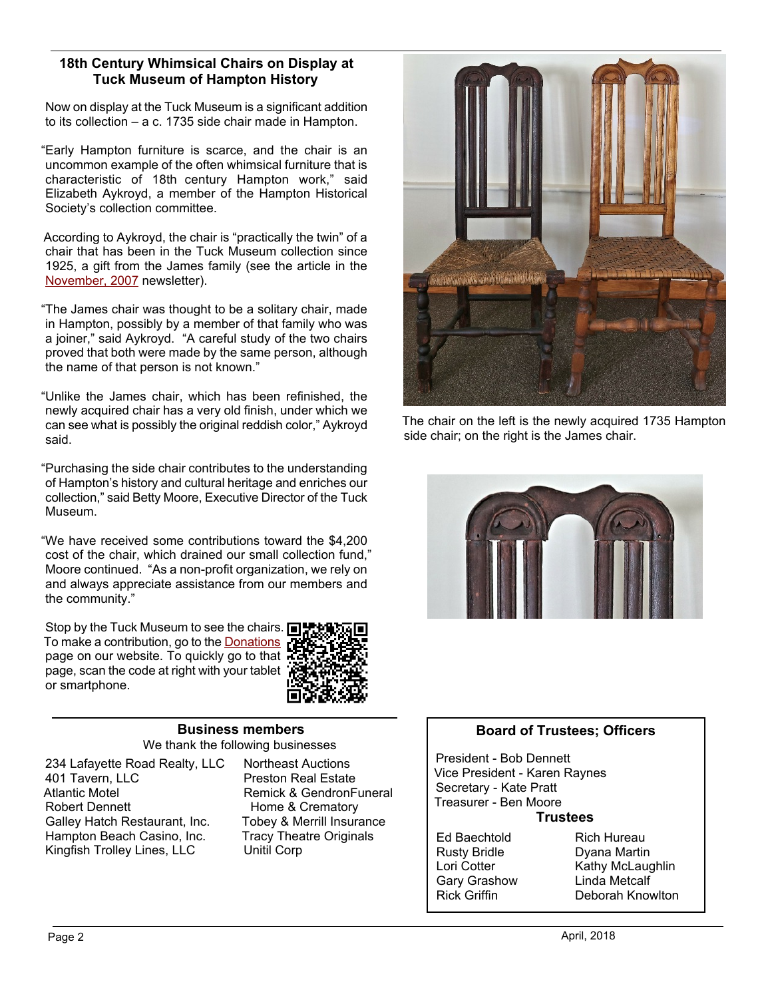#### **18th Century Whimsical Chairs on Display at Tuck Museum of Hampton History**

Now on display at the Tuck Museum is a significant addition to its collection – a c. 1735 side chair made in Hampton.

"Early Hampton furniture is scarce, and the chair is an uncommon example of the often whimsical furniture that is characteristic of 18th century Hampton work," said Elizabeth Aykroyd, a member of the Hampton Historical Society's collection committee.

According to Aykroyd, the chair is "practically the twin" of a chair that has been in the Tuck Museum collection since 1925, a gift from the James family (see the article in the [November, 2007](http://www.hamptonhistoricalsociety.org/nlnov07.pdf) [n](http://www.hamptonhistoricalsociety.org/nlnov07.pdf)ewsletter).

"The James chair was thought to be a solitary chair, made in Hampton, possibly by a member of that family who was a joiner," said Aykroyd. "A careful study of the two chairs proved that both were made by the same person, although the name of that person is not known."

"Unlike the James chair, which has been refinished, the newly acquired chair has a very old finish, under which we can see what is possibly the original reddish color," Aykroyd said.

"Purchasing the side chair contributes to the understanding of Hampton's history and cultural heritage and enriches our collection," said Betty Moore, Executive Director of the Tuck Museum.

"We have received some contributions toward the \$4,200 cost of the chair, which drained our small collection fund," Moore continued. "As a non-profit organization, we rely on and always appreciate assistance from our members and the community."

Stop by the Tuck Museum to see the chairs. **□** To make a contribution, go to the **Donations** page on our website. To quickly go to that page, scan the code at right with your tablet or smartphone.



#### **Business members** We thank the following businesses

234 Lafayette Road Realty, LLC 401 Tavern, LLC Atlantic Motel Robert Dennett Galley Hatch Restaurant, Inc. Hampton Beach Casino, Inc. Kingfish Trolley Lines, LLC

Northeast Auctions Preston Real Estate Remick & GendronFuneral Home & Crematory Tobey & Merrill Insurance Tracy Theatre Originals Unitil Corp



The chair on the left is the newly acquired 1735 Hampton side chair; on the right is the James chair.



## **Board of Trustees; Officers**

President - Bob Dennett Vice President - Karen Raynes Secretary - Kate Pratt Treasurer - Ben Moore

#### **Trustees**

Ed Baechtold Rusty Bridle Lori Cotter Gary Grashow Rick Griffin

Rich Hureau Dyana Martin Kathy McLaughlin Linda Metcalf Deborah Knowlton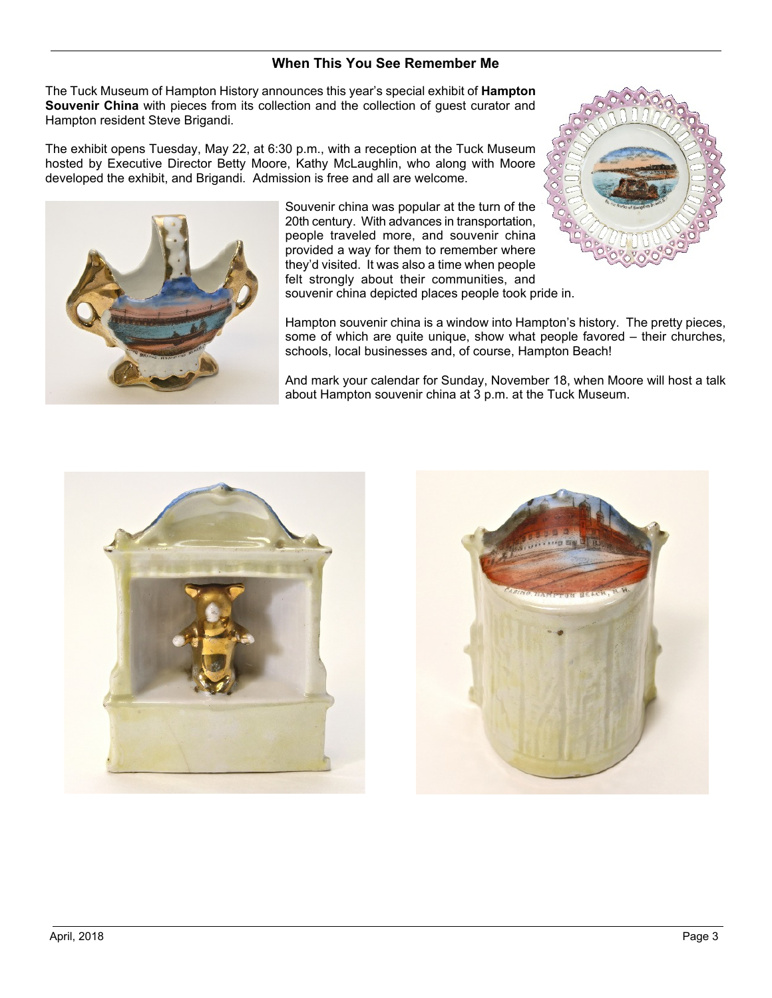## **When This You See Remember Me**

The Tuck Museum of Hampton History announces this year's special exhibit of **Hampton Souvenir China** with pieces from its collection and the collection of guest curator and Hampton resident Steve Brigandi.

The exhibit opens Tuesday, May 22, at 6:30 p.m., with a reception at the Tuck Museum hosted by Executive Director Betty Moore, Kathy McLaughlin, who along with Moore developed the exhibit, and Brigandi. Admission is free and all are welcome.



Souvenir china was popular at the turn of the 20th century. With advances in transportation, people traveled more, and souvenir china provided a way for them to remember where they'd visited. It was also a time when people felt strongly about their communities, and souvenir china depicted places people took pride in.



Hampton souvenir china is a window into Hampton's history. The pretty pieces, some of which are quite unique, show what people favored – their churches, schools, local businesses and, of course, Hampton Beach!

And mark your calendar for Sunday, November 18, when Moore will host a talk about Hampton souvenir china at 3 p.m. at the Tuck Museum.



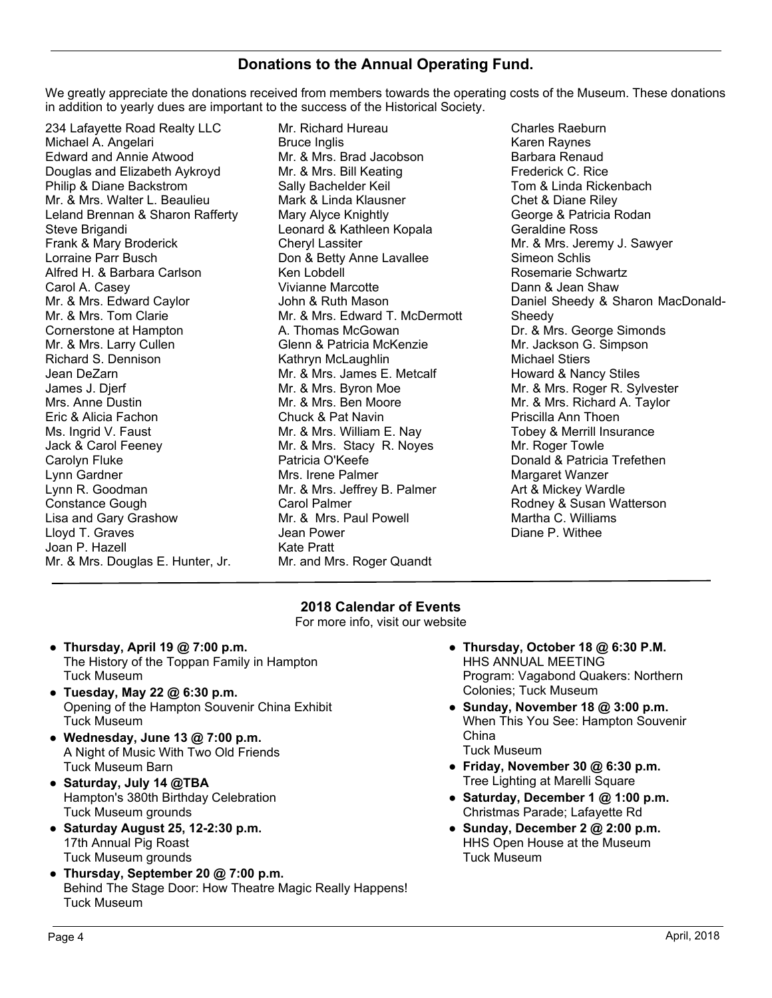# **Donations to the Annual Operating Fund.**

We greatly appreciate the donations received from members towards the operating costs of the Museum. These donations in addition to yearly dues are important to the success of the Historical Society.

234 Lafayette Road Realty LLC Michael A. Angelari Edward and Annie Atwood Douglas and Elizabeth Aykroyd Philip & Diane Backstrom Mr. & Mrs. Walter L. Beaulieu Leland Brennan & Sharon Rafferty Steve Brigandi Frank & Mary Broderick Lorraine Parr Busch Alfred H. & Barbara Carlson Carol A. Casey Mr. & Mrs. Edward Caylor Mr. & Mrs. Tom Clarie Cornerstone at Hampton Mr. & Mrs. Larry Cullen Richard S. Dennison Jean DeZarn James J. Djerf Mrs. Anne Dustin Eric & Alicia Fachon Ms. Ingrid V. Faust Jack & Carol Feeney Carolyn Fluke Lynn Gardner Lynn R. Goodman Constance Gough Lisa and Gary Grashow Lloyd T. Graves Joan P. Hazell Mr. & Mrs. Douglas E. Hunter, Jr.

Mr. Richard Hureau Bruce Inglis Mr. & Mrs. Brad Jacobson Mr. & Mrs. Bill Keating Sally Bachelder Keil Mark & Linda Klausner Mary Alyce Knightly Leonard & Kathleen Kopala Cheryl Lassiter Don & Betty Anne Lavallee Ken Lobdell Vivianne Marcotte John & Ruth Mason Mr. & Mrs. Edward T. McDermott A. Thomas McGowan Glenn & Patricia McKenzie Kathryn McLaughlin Mr. & Mrs. James E. Metcalf Mr. & Mrs. Byron Moe Mr. & Mrs. Ben Moore Chuck & Pat Navin Mr. & Mrs. William E. Nay Mr. & Mrs. Stacy R. Noyes Patricia O'Keefe Mrs. Irene Palmer Mr. & Mrs. Jeffrey B. Palmer Carol Palmer Mr. & Mrs. Paul Powell Jean Power Kate Pratt Mr. and Mrs. Roger Quandt

Charles Raeburn Karen Raynes Barbara Renaud Frederick C. Rice Tom & Linda Rickenbach Chet & Diane Riley George & Patricia Rodan Geraldine Ross Mr. & Mrs. Jeremy J. Sawyer Simeon Schlis Rosemarie Schwartz Dann & Jean Shaw Daniel Sheedy & Sharon MacDonald-Sheedy Dr. & Mrs. George Simonds Mr. Jackson G. Simpson Michael Stiers Howard & Nancy Stiles Mr. & Mrs. Roger R. Sylvester Mr. & Mrs. Richard A. Taylor Priscilla Ann Thoen Tobey & Merrill Insurance Mr. Roger Towle Donald & Patricia Trefethen Margaret Wanzer Art & Mickey Wardle Rodney & Susan Watterson Martha C. Williams Diane P. Withee

## **2018 Calendar of Events**

For more info, visit our website

- **Thursday, April 19 @ 7:00 p.m.** The History of the Toppan Family in Hampton Tuck Museum
- **Tuesday, May 22 @ 6:30 p.m.** Opening of the Hampton Souvenir China Exhibit Tuck Museum
- **Wednesday, June 13 @ 7:00 p.m.** A Night of Music With Two Old Friends Tuck Museum Barn
- **Saturday, July 14 @TBA** Hampton's 380th Birthday Celebration Tuck Museum grounds
- **Saturday August 25, 12-2:30 p.m.** 17th Annual Pig Roast Tuck Museum grounds
- **Thursday, September 20 @ 7:00 p.m.** Behind The Stage Door: How Theatre Magic Really Happens! Tuck Museum
- **Thursday, October 18 @ 6:30 P.M.** HHS ANNUAL MEETING Program: Vagabond Quakers: Northern Colonies; Tuck Museum
- **Sunday, November 18 @ 3:00 p.m.** When This You See: Hampton Souvenir China Tuck Museum
- **Friday, November 30 @ 6:30 p.m.** Tree Lighting at Marelli Square
- **Saturday, December 1 @ 1:00 p.m.** Christmas Parade; Lafayette Rd
- **Sunday, December 2 @ 2:00 p.m.** HHS Open House at the Museum Tuck Museum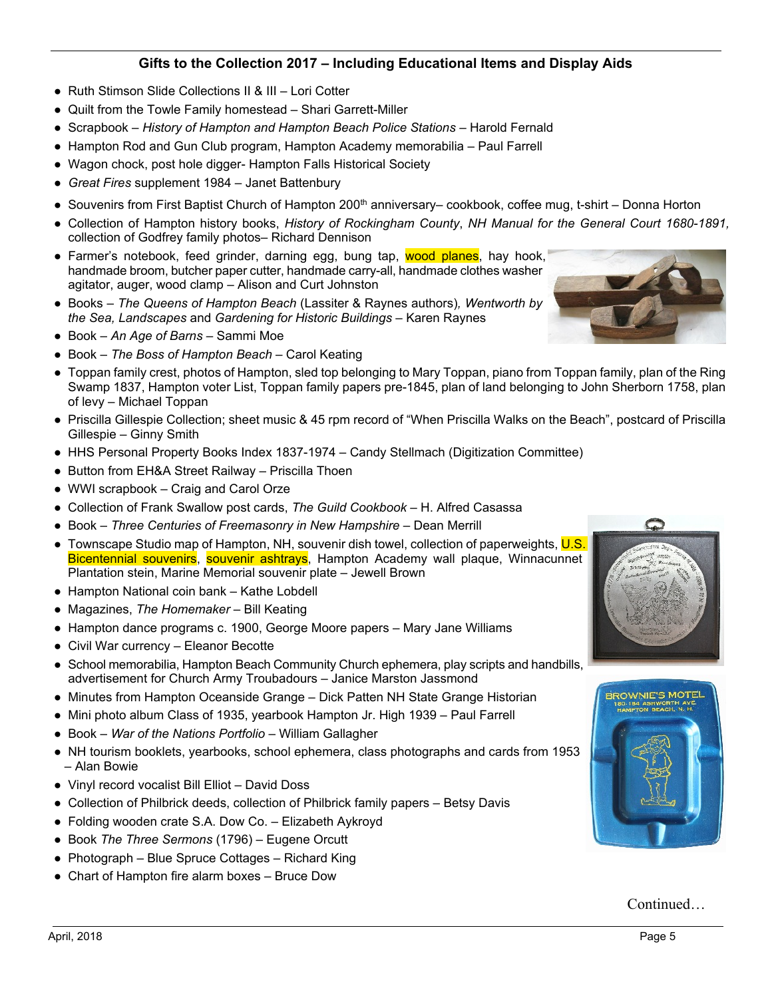# **Gifts to the Collection 2017 – Including Educational Items and Display Aids**

- Ruth Stimson Slide Collections II & III Lori Cotter
- Quilt from the Towle Family homestead Shari Garrett-Miller
- Scrapbook *History of Hampton and Hampton Beach Police Stations* Harold Fernald
- Hampton Rod and Gun Club program, Hampton Academy memorabilia Paul Farrell
- Wagon chock, post hole digger- Hampton Falls Historical Society
- *Great Fires* supplement 1984 Janet Battenbury
- Souvenirs from First Baptist Church of Hampton 200<sup>th</sup> anniversary– cookbook, coffee mug, t-shirt Donna Horton
- Collection of Hampton history books, *History of Rockingham County*, *NH Manual for the General Court 1680-1891,* collection of Godfrey family photos– Richard Dennison
- Farmer's notebook, feed grinder, darning egg, bung tap, wood planes, hay hook, handmade broom, butcher paper cutter, handmade carry-all, handmade clothes washer agitator, auger, wood clamp – Alison and Curt Johnston
- Books  *The Queens of Hampton Beach* (Lassiter & Raynes authors)*, Wentworth by the Sea, Landscapes* and *Gardening for Historic Buildings* – Karen Raynes
- Book *An Age of Barns* Sammi Moe
- Book *The Boss of Hampton Beach* Carol Keating
- Toppan family crest, photos of Hampton, sled top belonging to Mary Toppan, piano from Toppan family, plan of the Ring Swamp 1837, Hampton voter List, Toppan family papers pre-1845, plan of land belonging to John Sherborn 1758, plan of levy – Michael Toppan
- Priscilla Gillespie Collection; sheet music & 45 rpm record of "When Priscilla Walks on the Beach", postcard of Priscilla Gillespie – Ginny Smith
- HHS Personal Property Books Index 1837-1974 Candy Stellmach (Digitization Committee)
- Button from EH&A Street Railway Priscilla Thoen
- WWI scrapbook Craig and Carol Orze
- Collection of Frank Swallow post cards, *The Guild Cookbook* H. Alfred Casassa
- Book *Three Centuries of Freemasonry in New Hampshire* Dean Merrill
- Townscape Studio map of Hampton, NH, souvenir dish towel, collection of paperweights, U.S. Bicentennial souvenirs, souvenir ashtrays, Hampton Academy wall plaque, Winnacunnet Plantation stein, Marine Memorial souvenir plate – Jewell Brown
- Hampton National coin bank Kathe Lobdell
- Magazines, *The Homemaker* Bill Keating
- Hampton dance programs c. 1900, George Moore papers Mary Jane Williams
- Civil War currency Eleanor Becotte
- School memorabilia, Hampton Beach Community Church ephemera, play scripts and handbills, advertisement for Church Army Troubadours – Janice Marston Jassmond
- Minutes from Hampton Oceanside Grange Dick Patten NH State Grange Historian
- Mini photo album Class of 1935, yearbook Hampton Jr. High 1939 Paul Farrell
- Book *War of the Nations Portfolio* William Gallagher
- NH tourism booklets, yearbooks, school ephemera, class photographs and cards from 1953 – Alan Bowie
- Vinyl record vocalist Bill Elliot David Doss
- Collection of Philbrick deeds, collection of Philbrick family papers Betsy Davis
- Folding wooden crate S.A. Dow Co. Elizabeth Aykroyd
- Book *The Three Sermons* (1796) Eugene Orcutt
- Photograph Blue Spruce Cottages Richard King
- Chart of Hampton fire alarm boxes Bruce Dow





Continued…